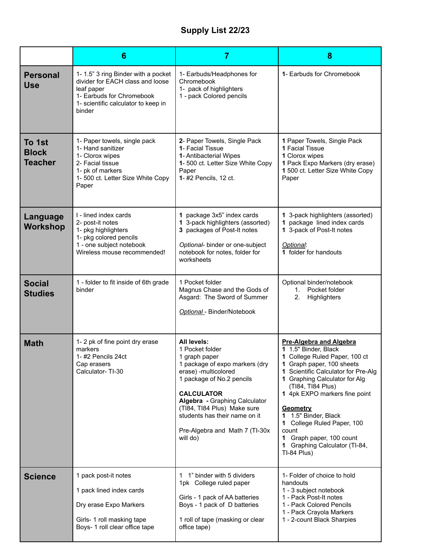## **Supply List 22/23**

|                                          | 6                                                                                                                                                                  | $\overline{7}$                                                                                                                                                                                                                                                                                             | 8                                                                                                                                                                                                                                                                                                                                                                                                              |
|------------------------------------------|--------------------------------------------------------------------------------------------------------------------------------------------------------------------|------------------------------------------------------------------------------------------------------------------------------------------------------------------------------------------------------------------------------------------------------------------------------------------------------------|----------------------------------------------------------------------------------------------------------------------------------------------------------------------------------------------------------------------------------------------------------------------------------------------------------------------------------------------------------------------------------------------------------------|
| <b>Personal</b><br><b>Use</b>            | 1-1.5" 3 ring Binder with a pocket<br>divider for EACH class and loose<br>leaf paper<br>1- Earbuds for Chromebook<br>1- scientific calculator to keep in<br>binder | 1- Earbuds/Headphones for<br>Chromebook<br>1- pack of highlighters<br>1 - pack Colored pencils                                                                                                                                                                                                             | 1- Earbuds for Chromebook                                                                                                                                                                                                                                                                                                                                                                                      |
| To 1st<br><b>Block</b><br><b>Teacher</b> | 1- Paper towels, single pack<br>1- Hand sanitizer<br>1- Clorox wipes<br>2- Facial tissue<br>1- pk of markers<br>1- 500 ct. Letter Size White Copy<br>Paper         | 2- Paper Towels, Single Pack<br>1- Facial Tissue<br>1- Antibacterial Wipes<br>1- 500 ct. Letter Size White Copy<br>Paper<br>1-#2 Pencils, 12 ct.                                                                                                                                                           | 1 Paper Towels, Single Pack<br>1 Facial Tissue<br>1 Clorox wipes<br>1 Pack Expo Markers (dry erase)<br>1 500 ct. Letter Size White Copy<br>Paper                                                                                                                                                                                                                                                               |
| Language<br><b>Workshop</b>              | I - lined index cards<br>2- post-it notes<br>1- pkg highlighters<br>1- pkg colored pencils<br>1 - one subject notebook<br>Wireless mouse recommended!              | 1 package 3x5" index cards<br>1 3-pack highlighters (assorted)<br>3 packages of Post-It notes<br>Optional- binder or one-subject<br>notebook for notes, folder for<br>worksheets                                                                                                                           | 1 3-pack highlighters (assorted)<br>1 package lined index cards<br>1 3-pack of Post-It notes<br>Optional:<br>1 folder for handouts                                                                                                                                                                                                                                                                             |
| <b>Social</b><br><b>Studies</b>          | 1 - folder to fit inside of 6th grade<br>binder                                                                                                                    | 1 Pocket folder<br>Magnus Chase and the Gods of<br>Asgard: The Sword of Summer<br>Optional - Binder/Notebook                                                                                                                                                                                               | Optional binder/notebook<br>Pocket folder<br>1.<br>2.<br>Highlighters                                                                                                                                                                                                                                                                                                                                          |
| <b>Math</b>                              | 1-2 pk of fine point dry erase<br>markers<br>1-#2 Pencils 24ct<br>Cap erasers<br>Calculator-TI-30                                                                  | All levels:<br>1 Pocket folder<br>1 graph paper<br>1 package of expo markers (dry<br>erase) -multicolored<br>1 package of No.2 pencils<br><b>CALCULATOR</b><br>Algebra - Graphing Calculator<br>(TI84, TI84 Plus) Make sure<br>students has their name on it<br>Pre-Algebra and Math 7 (TI-30x<br>will do) | <b>Pre-Algebra and Algebra</b><br>1 1.5" Binder, Black<br>1 College Ruled Paper, 100 ct<br>1 Graph paper, 100 sheets<br>1 Scientific Calculator for Pre-Alg<br>1 Graphing Calculator for Alg<br>(TI84, TI84 Plus)<br>1 4pk EXPO markers fine point<br><b>Geometry</b><br>1 1.5" Binder, Black<br>College Ruled Paper, 100<br>count<br>1 Graph paper, 100 count<br>1 Graphing Calculator (TI-84,<br>TI-84 Plus) |
| <b>Science</b>                           | 1 pack post-it notes<br>1 pack lined index cards<br>Dry erase Expo Markers<br>Girls- 1 roll masking tape<br>Boys- 1 roll clear office tape                         | 1 1" binder with 5 dividers<br>1pk College ruled paper<br>Girls - 1 pack of AA batteries<br>Boys - 1 pack of D batteries<br>1 roll of tape (masking or clear<br>office tape)                                                                                                                               | 1- Folder of choice to hold<br>handouts<br>1 - 3 subject notebook<br>1 - Pack Post-It notes<br>1 - Pack Colored Pencils<br>1 - Pack Crayola Markers<br>1 - 2-count Black Sharpies                                                                                                                                                                                                                              |